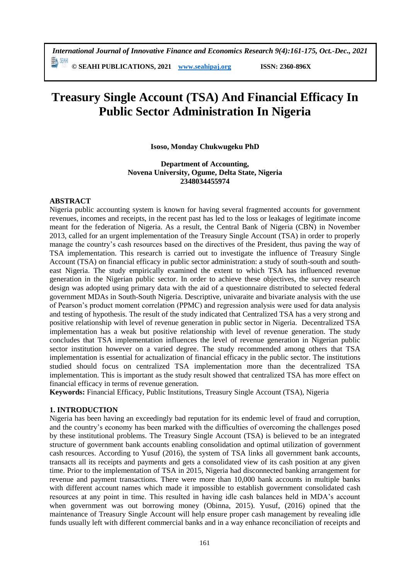# **Treasury Single Account (TSA) And Financial Efficacy In Public Sector Administration In Nigeria**

#### **Isoso, Monday Chukwugeku PhD**

#### **Department of Accounting, Novena University, Ogume, Delta State, Nigeria 2348034455974**

#### **ABSTRACT**

Nigeria public accounting system is known for having several fragmented accounts for government revenues, incomes and receipts, in the recent past has led to the loss or leakages of legitimate income meant for the federation of Nigeria. As a result, the Central Bank of Nigeria (CBN) in November 2013, called for an urgent implementation of the Treasury Single Account (TSA) in order to properly manage the country's cash resources based on the directives of the President, thus paving the way of TSA implementation. This research is carried out to investigate the influence of Treasury Single Account (TSA) on financial efficacy in public sector administration: a study of south-south and southeast Nigeria. The study empirically examined the extent to which TSA has influenced revenue generation in the Nigerian public sector. In order to achieve these objectives, the survey research design was adopted using primary data with the aid of a questionnaire distributed to selected federal government MDAs in South-South Nigeria. Descriptive, univaraite and bivariate analysis with the use of Pearson's product moment correlation (PPMC) and regression analysis were used for data analysis and testing of hypothesis. The result of the study indicated that Centralized TSA has a very strong and positive relationship with level of revenue generation in public sector in Nigeria. Decentralized TSA implementation has a weak but positive relationship with level of revenue generation. The study concludes that TSA implementation influences the level of revenue generation in Nigerian public sector institution however on a varied degree. The study recommended among others that TSA implementation is essential for actualization of financial efficacy in the public sector. The institutions studied should focus on centralized TSA implementation more than the decentralized TSA implementation. This is important as the study result showed that centralized TSA has more effect on financial efficacy in terms of revenue generation.

**Keywords:** Financial Efficacy, Public Institutions, Treasury Single Account (TSA), Nigeria

## **1. INTRODUCTION**

Nigeria has been having an exceedingly bad reputation for its endemic level of fraud and corruption, and the country's economy has been marked with the difficulties of overcoming the challenges posed by these institutional problems. The Treasury Single Account (TSA) is believed to be an integrated structure of government bank accounts enabling consolidation and optimal utilization of government cash resources. According to Yusuf (2016), the system of TSA links all government bank accounts, transacts all its receipts and payments and gets a consolidated view of its cash position at any given time. Prior to the implementation of TSA in 2015, Nigeria had disconnected banking arrangement for revenue and payment transactions. There were more than 10,000 bank accounts in multiple banks with different account names which made it impossible to establish government consolidated cash resources at any point in time. This resulted in having idle cash balances held in MDA's account when government was out borrowing money (Obinna, 2015). Yusuf, (2016) opined that the maintenance of Treasury Single Account will help ensure proper cash management by revealing idle funds usually left with different commercial banks and in a way enhance reconciliation of receipts and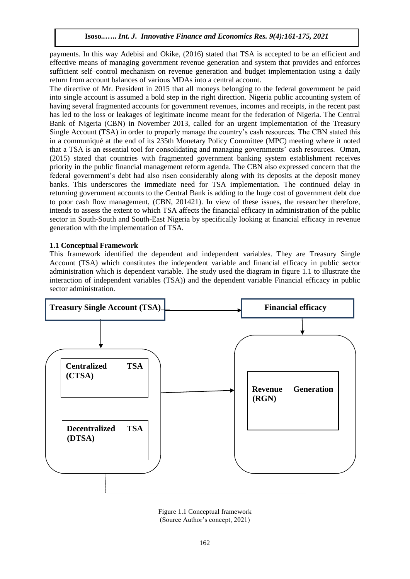payments. In this way Adebisi and Okike, (2016) stated that TSA is accepted to be an efficient and effective means of managing government revenue generation and system that provides and enforces sufficient self–control mechanism on revenue generation and budget implementation using a daily return from account balances of various MDAs into a central account.

The directive of Mr. President in 2015 that all moneys belonging to the federal government be paid into single account is assumed a bold step in the right direction. Nigeria public accounting system of having several fragmented accounts for government revenues, incomes and receipts, in the recent past has led to the loss or leakages of legitimate income meant for the federation of Nigeria. The Central Bank of Nigeria (CBN) in November 2013, called for an urgent implementation of the Treasury Single Account (TSA) in order to properly manage the country's cash resources. The CBN stated this in a communiqué at the end of its 235th Monetary Policy Committee (MPC) meeting where it noted that a TSA is an essential tool for consolidating and managing governments' cash resources. Oman, (2015) stated that countries with fragmented government banking system establishment receives priority in the public financial management reform agenda. The CBN also expressed concern that the federal government's debt had also risen considerably along with its deposits at the deposit money banks. This underscores the immediate need for TSA implementation. The continued delay in returning government accounts to the Central Bank is adding to the huge cost of government debt due to poor cash flow management, (CBN, 201421). In view of these issues, the researcher therefore, intends to assess the extent to which TSA affects the financial efficacy in administration of the public sector in South-South and South-East Nigeria by specifically looking at financial efficacy in revenue generation with the implementation of TSA.

#### **1.1 Conceptual Framework**

This framework identified the dependent and independent variables. They are Treasury Single Account (TSA) which constitutes the independent variable and financial efficacy in public sector administration which is dependent variable. The study used the diagram in figure 1.1 to illustrate the interaction of independent variables (TSA)) and the dependent variable Financial efficacy in public sector administration.



Figure 1.1 Conceptual framework (Source Author's concept, 2021)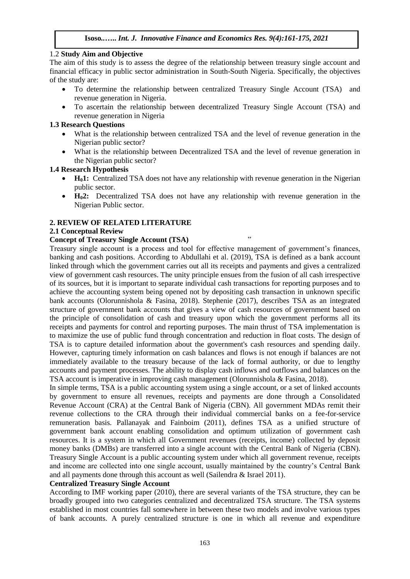#### 1.2 **Study Aim and Objective**

The aim of this study is to assess the degree of the relationship between treasury single account and financial efficacy in public sector administration in South-South Nigeria. Specifically, the objectives of the study are:

- To determine the relationship between centralized Treasury Single Account (TSA) and revenue generation in Nigeria.
- To ascertain the relationship between decentralized Treasury Single Account (TSA) and revenue generation in Nigeria

#### **1.3 Research Questions**

- What is the relationship between centralized TSA and the level of revenue generation in the Nigerian public sector?
- What is the relationship between Decentralized TSA and the level of revenue generation in the Nigerian public sector?

#### **1.4 Research Hypothesis**

- H<sub>0</sub>1: Centralized TSA does not have any relationship with revenue generation in the Nigerian public sector.
- **H02:** Decentralized TSA does not have any relationship with revenue generation in the Nigerian Public sector.

## **2. REVIEW OF RELATED LITERATURE**

#### **2.1 Conceptual Review**

# **Concept of Treasury Single Account (TSA)** "

Treasury single account is a process and tool for effective management of government's finances, banking and cash positions. According to Abdullahi et al. (2019), TSA is defined as a bank account linked through which the government carries out all its receipts and payments and gives a centralized view of government cash resources. The unity principle ensues from the fusion of all cash irrespective of its sources, but it is important to separate individual cash transactions for reporting purposes and to achieve the accounting system being opened not by depositing cash transaction in unknown specific bank accounts (Olorunnishola & Fasina, 2018). Stephenie (2017), describes TSA as an integrated structure of government bank accounts that gives a view of cash resources of government based on the principle of consolidation of cash and treasury upon which the government performs all its receipts and payments for control and reporting purposes. The main thrust of TSA implementation is to maximize the use of public fund through concentration and reduction in float costs. The design of TSA is to capture detailed information about the government's cash resources and spending daily. However, capturing timely information on cash balances and flows is not enough if balances are not immediately available to the treasury because of the lack of formal authority, or due to lengthy accounts and payment processes. The ability to display cash inflows and outflows and balances on the TSA account is imperative in improving cash management (Olorunnishola & Fasina, 2018).

In simple terms, TSA is a public accounting system using a single account, or a set of linked accounts by government to ensure all revenues, receipts and payments are done through a Consolidated Revenue Account (CRA) at the Central Bank of Nigeria (CBN). All government MDAs remit their revenue collections to the CRA through their individual commercial banks on a fee-for-service remuneration basis. Pallanayak and Fainboim (2011), defines TSA as a unified structure of government bank account enabling consolidation and optimum utilization of government cash resources. It is a system in which all Government revenues (receipts, income) collected by deposit money banks (DMBs) are transferred into a single account with the Central Bank of Nigeria (CBN). Treasury Single Account is a public accounting system under which all government revenue, receipts and income are collected into one single account, usually maintained by the country's Central Bank and all payments done through this account as well (Sailendra & Israel 2011).

#### **Centralized Treasury Single Account**

According to IMF working paper (2010), there are several variants of the TSA structure, they can be broadly grouped into two categories centralized and decentralized TSA structure. The TSA systems established in most countries fall somewhere in between these two models and involve various types of bank accounts. A purely centralized structure is one in which all revenue and expenditure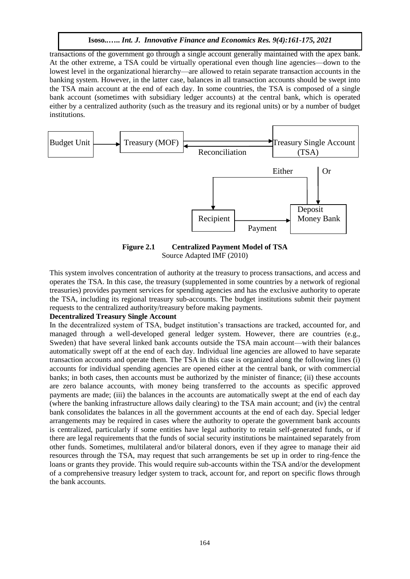transactions of the government go through a single account generally maintained with the apex bank. At the other extreme, a TSA could be virtually operational even though line agencies—down to the lowest level in the organizational hierarchy—are allowed to retain separate transaction accounts in the banking system. However, in the latter case, balances in all transaction accounts should be swept into the TSA main account at the end of each day. In some countries, the TSA is composed of a single bank account (sometimes with subsidiary ledger accounts) at the central bank, which is operated either by a centralized authority (such as the treasury and its regional units) or by a number of budget institutions.



**Figure 2.1 Centralized Payment Model of TSA** Source Adapted IMF (2010)

This system involves concentration of authority at the treasury to process transactions, and access and operates the TSA. In this case, the treasury (supplemented in some countries by a network of regional treasuries) provides payment services for spending agencies and has the exclusive authority to operate the TSA, including its regional treasury sub-accounts. The budget institutions submit their payment requests to the centralized authority/treasury before making payments.

#### **Decentralized Treasury Single Account**

In the decentralized system of TSA, budget institution's transactions are tracked, accounted for, and managed through a well-developed general ledger system. However, there are countries (e.g., Sweden) that have several linked bank accounts outside the TSA main account—with their balances automatically swept off at the end of each day. Individual line agencies are allowed to have separate transaction accounts and operate them. The TSA in this case is organized along the following lines (i) accounts for individual spending agencies are opened either at the central bank, or with commercial banks; in both cases, then accounts must be authorized by the minister of finance; (ii) these accounts are zero balance accounts, with money being transferred to the accounts as specific approved payments are made; (iii) the balances in the accounts are automatically swept at the end of each day (where the banking infrastructure allows daily clearing) to the TSA main account; and (iv) the central bank consolidates the balances in all the government accounts at the end of each day. Special ledger arrangements may be required in cases where the authority to operate the government bank accounts is centralized, particularly if some entities have legal authority to retain self-generated funds, or if there are legal requirements that the funds of social security institutions be maintained separately from other funds. Sometimes, multilateral and/or bilateral donors, even if they agree to manage their aid resources through the TSA, may request that such arrangements be set up in order to ring-fence the loans or grants they provide. This would require sub-accounts within the TSA and/or the development of a comprehensive treasury ledger system to track, account for, and report on specific flows through the bank accounts.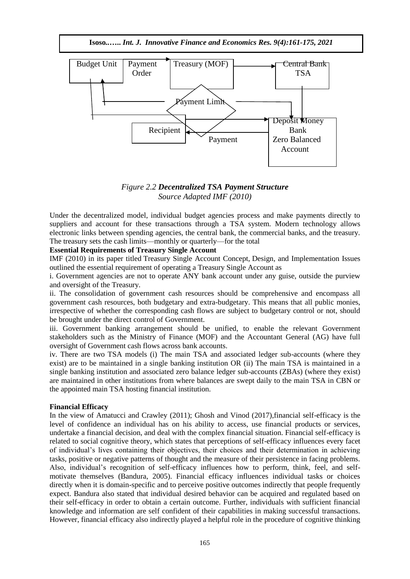**Isoso***..***…..** *Int. J. Innovative Finance and Economics Res. 9(4):161-175, 2021*



*Figure 2.2 Decentralized TSA Payment Structure Source Adapted IMF (2010)*

Under the decentralized model, individual budget agencies process and make payments directly to suppliers and account for these transactions through a TSA system. Modern technology allows electronic links between spending agencies, the central bank, the commercial banks, and the treasury. The treasury sets the cash limits—monthly or quarterly—for the total

#### **Essential Requirements of Treasury Single Account**

IMF (2010) in its paper titled Treasury Single Account Concept, [Design, and Implementation Issues](https://www.imf.org/external/pubs/ft/wp/2010/wp10143.pdf)  outlined the essential requirement of operating a Treasury Single Account as

i. Government agencies are not to operate ANY bank account under any guise, outside the purview and oversight of the Treasury.

ii. The consolidation of government cash resources should be comprehensive and encompass all government cash resources, both budgetary and extra-budgetary. This means that all public monies, irrespective of whether the corresponding cash flows are subject to budgetary control or not, should be brought under the direct control of Government.

iii. Government banking arrangement should be unified, to enable the relevant Government stakeholders such as the Ministry of Finance (MOF) and the Accountant General (AG) have full oversight of Government cash flows across bank accounts.

iv. There are two TSA models (i) The main TSA and associated ledger sub-accounts (where they exist) are to be maintained in a single banking institution OR (ii) The main TSA is maintained in a single banking institution and associated zero balance ledger sub-accounts (ZBAs) (where they exist) are maintained in other institutions from where balances are swept daily to the main TSA in CBN or the appointed main TSA hosting financial institution.

#### **Financial Efficacy**

In the view of Amatucci and Crawley (2011); Ghosh and Vinod (2017),financial self-efficacy is the level of confidence an individual has on his ability to access, use financial products or services, undertake a financial decision, and deal with the complex financial situation. Financial self-efficacy is related to social cognitive theory, which states that perceptions of self-efficacy influences every facet of individual's lives containing their objectives, their choices and their determination in achieving tasks, positive or negative patterns of thought and the measure of their persistence in facing problems. Also, individual's recognition of self-efficacy influences how to perform, think, feel, and selfmotivate themselves (Bandura, 2005). Financial efficacy influences individual tasks or choices directly when it is domain-specific and to perceive positive outcomes indirectly that people frequently expect. Bandura also stated that individual desired behavior can be acquired and regulated based on their self-efficacy in order to obtain a certain outcome. Further, individuals with sufficient financial knowledge and information are self confident of their capabilities in making successful transactions. However, financial efficacy also indirectly played a helpful role in the procedure of cognitive thinking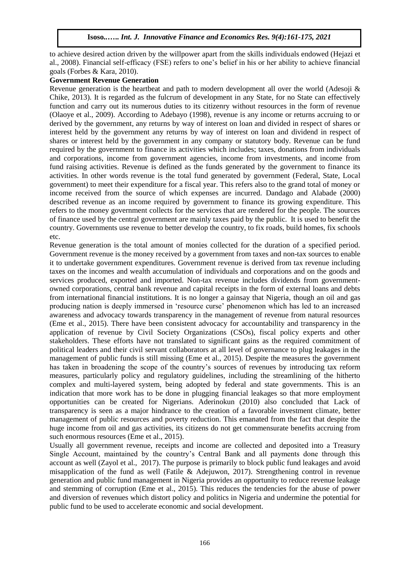to achieve desired action driven by the willpower apart from the skills individuals endowed (Hejazi et al., 2008). Financial self-efficacy (FSE) refers to one's belief in his or her ability to achieve financial goals (Forbes & Kara, 2010).

#### **Government Revenue Generation**

Revenue generation is the heartbeat and path to modern development all over the world (Adesoji & Chike, 2013). It is regarded as the fulcrum of development in any State, for no State can effectively function and carry out its numerous duties to its citizenry without resources in the form of revenue (Olaoye et al., 2009). According to Adebayo (1998), revenue is any income or returns accruing to or derived by the government, any returns by way of interest on loan and divided in respect of shares or interest held by the government any returns by way of interest on loan and dividend in respect of shares or interest held by the government in any company or statutory body. Revenue can be fund required by the government to finance its activities which includes; taxes, donations from individuals and corporations, income from government agencies, income from investments, and income from fund raising activities. Revenue is defined as the funds generated by the government to finance its activities. In other words revenue is the total fund generated by government (Federal, State, Local government) to meet their expenditure for a fiscal year. This refers also to the grand total of money or income received from the source of which expenses are incurred. Dandago and Alabade (2000) described revenue as an income required by government to finance its growing expenditure. This refers to the money government collects for the services that are rendered for the people. The sources of finance used by the central government are mainly taxes paid by the public. It is used to benefit the country. Governments use revenue to better develop the country, to fix roads, build homes, fix schools etc.

Revenue generation is the total amount of monies collected for the duration of a specified period. Government revenue is the money received by a government from taxes and non-tax sources to enable it to undertake government expenditures. Government revenue is derived from tax revenue including taxes on the incomes and wealth accumulation of individuals and corporations and on the goods and services produced, exported and imported. Non-tax revenue includes dividends from governmentowned corporations, central bank revenue and capital receipts in the form of external loans and debts from international financial institutions. It is no longer a gainsay that Nigeria, though an oil and gas producing nation is deeply immersed in 'resource curse' phenomenon which has led to an increased awareness and advocacy towards transparency in the management of revenue from natural resources (Eme et al., 2015). There have been consistent advocacy for accountability and transparency in the application of revenue by Civil Society Organizations (CSOs), fiscal policy experts and other stakeholders. These efforts have not translated to significant gains as the required commitment of political leaders and their civil servant collaborators at all level of governance to plug leakages in the management of public funds is still missing (Eme et al., 2015). Despite the measures the government has taken in broadening the scope of the country's sources of revenues by introducing tax reform measures, particularly policy and regulatory guidelines, including the streamlining of the hitherto complex and multi-layered system, being adopted by federal and state governments. This is an indication that more work has to be done in plugging financial leakages so that more employment opportunities can be created for Nigerians. Aderinokun (2010) also concluded that Lack of transparency is seen as a major hindrance to the creation of a favorable investment climate, better management of public resources and poverty reduction. This emanated from the fact that despite the huge income from oil and gas activities, its citizens do not get commensurate benefits accruing from such enormous resources (Eme et al., 2015).

Usually all government revenue, receipts and income are collected and deposited into a Treasury Single Account, maintained by the country's Central Bank and all payments done through this account as well (Zayol et al., 2017). The purpose is primarily to block public fund leakages and avoid misapplication of the fund as well (Fatile & Adejuwon, 2017). Strengthening control in revenue generation and public fund management in Nigeria provides an opportunity to reduce revenue leakage and stemming of corruption (Eme et al., 2015). This reduces the tendencies for the abuse of power and diversion of revenues which distort policy and politics in Nigeria and undermine the potential for public fund to be used to accelerate economic and social development.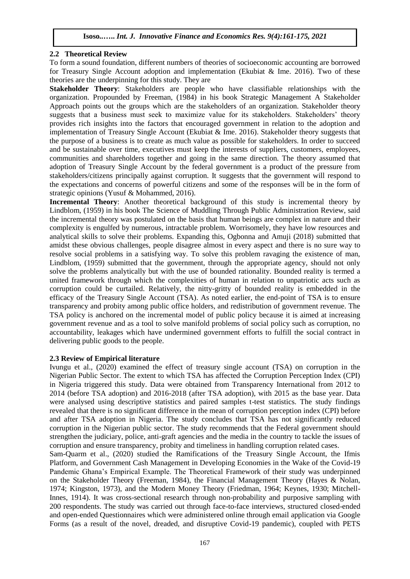#### **2.2 Theoretical Review**

To form a sound foundation, different numbers of theories of socioeconomic accounting are borrowed for Treasury Single Account adoption and implementation (Ekubiat & Ime. 2016). Two of these theories are the underpinning for this study. They are

**Stakeholder Theory**: Stakeholders are people who have classifiable relationships with the organization. Propounded by Freeman, (1984) in his book Strategic Management A Stakeholder Approach points out the groups which are the stakeholders of an organization. Stakeholder theory suggests that a business must seek to maximize value for its stakeholders. Stakeholders' theory provides rich insights into the factors that encouraged government in relation to the adoption and implementation of Treasury Single Account (Ekubiat & Ime. 2016). Stakeholder theory suggests that the purpose of a business is to create as much value as possible for stakeholders. In order to succeed and be sustainable over time, executives must keep the interests of suppliers, customers, employees, communities and shareholders together and going in the same direction. The theory assumed that adoption of Treasury Single Account by the federal government is a product of the pressure from stakeholders/citizens principally against corruption. It suggests that the government will respond to the expectations and concerns of powerful citizens and some of the responses will be in the form of strategic opinions (Yusuf & Mohammed, 2016).

**Incremental Theory**: Another theoretical background of this study is incremental theory by Lindblom, (1959) in his book The Science of Muddling Through Public Administration Review, said the incremental theory was postulated on the basis that human beings are complex in nature and their complexity is engulfed by numerous, intractable problem. Worrisomely, they have low resources and analytical skills to solve their problems. Expanding this, Ogbonna and Amuji (2018) submitted that amidst these obvious challenges, people disagree almost in every aspect and there is no sure way to resolve social problems in a satisfying way. To solve this problem ravaging the existence of man, Lindblom, (1959) submitted that the government, through the appropriate agency, should not only solve the problems analytically but with the use of bounded rationality. Bounded reality is termed a united framework through which the complexities of human in relation to unpatriotic acts such as corruption could be curtailed. Relatively, the nitty-gritty of bounded reality is embedded in the efficacy of the Treasury Single Account (TSA). As noted earlier, the end-point of TSA is to ensure transparency and probity among public office holders, and redistribution of government revenue. The TSA policy is anchored on the incremental model of public policy because it is aimed at increasing government revenue and as a tool to solve manifold problems of social policy such as corruption, no accountability, leakages which have undermined government efforts to fulfill the social contract in delivering public goods to the people.

#### **2.3 Review of Empirical literature**

Ivungu et al., (2020) examined the effect of treasury single account (TSA) on corruption in the Nigerian Public Sector. The extent to which TSA has affected the Corruption Perception Index (CPI) in Nigeria triggered this study. Data were obtained from Transparency International from 2012 to 2014 (before TSA adoption) and 2016-2018 (after TSA adoption), with 2015 as the base year. Data were analysed using descriptive statistics and paired samples t-test statistics. The study findings revealed that there is no significant difference in the mean of corruption perception index (CPI) before and after TSA adoption in Nigeria. The study concludes that TSA has not significantly reduced corruption in the Nigerian public sector. The study recommends that the Federal government should strengthen the judiciary, police, anti-graft agencies and the media in the country to tackle the issues of corruption and ensure transparency, probity and timeliness in handling corruption related cases.

Sam-Quarm et al., (2020) studied the Ramifications of the Treasury Single Account, the Ifmis Platform, and Government Cash Management in Developing Economies in the Wake of the Covid-19 Pandemic Ghana's Empirical Example. The Theoretical Framework of their study was underpinned on the Stakeholder Theory (Freeman, 1984), the Financial Management Theory (Hayes & Nolan, 1974; Kingston, 1973), and the Modern Money Theory (Friedman, 1964; Keynes, 1930; Mitchell-Innes, 1914). It was cross-sectional research through non-probability and purposive sampling with 200 respondents. The study was carried out through face-to-face interviews, structured closed-ended and open-ended Questionnaires which were administered online through email application via Google Forms (as a result of the novel, dreaded, and disruptive Covid-19 pandemic), coupled with PETS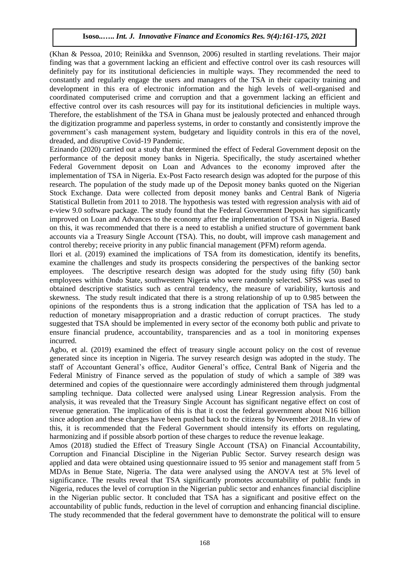(Khan & Pessoa, 2010; Reinikka and Svennson, 2006) resulted in startling revelations. Their major finding was that a government lacking an efficient and effective control over its cash resources will definitely pay for its institutional deficiencies in multiple ways. They recommended the need to constantly and regularly engage the users and managers of the TSA in their capacity training and development in this era of electronic information and the high levels of well-organised and coordinated computerised crime and corruption and that a government lacking an efficient and effective control over its cash resources will pay for its institutional deficiencies in multiple ways. Therefore, the establishment of the TSA in Ghana must be jealously protected and enhanced through the digitization programme and paperless systems, in order to constantly and consistently improve the government's cash management system, budgetary and liquidity controls in this era of the novel, dreaded, and disruptive Covid-19 Pandemic.

Ezinando (2020) carried out a study that determined the effect of Federal Government deposit on the performance of the deposit money banks in Nigeria. Specifically, the study ascertained whether Federal Government deposit on Loan and Advances to the economy improved after the implementation of TSA in Nigeria. Ex-Post Facto research design was adopted for the purpose of this research. The population of the study made up of the Deposit money banks quoted on the Nigerian Stock Exchange. Data were collected from deposit money banks and Central Bank of Nigeria Statistical Bulletin from 2011 to 2018. The hypothesis was tested with regression analysis with aid of e-view 9.0 software package. The study found that the Federal Government Deposit has significantly improved on Loan and Advances to the economy after the implementation of TSA in Nigeria. Based on this, it was recommended that there is a need to establish a unified structure of government bank accounts via a Treasury Single Account (TSA). This, no doubt, will improve cash management and control thereby; receive priority in any public financial management (PFM) reform agenda.

Ilori et al. (2019) examined the implications of TSA from its domestication, identify its benefits, examine the challenges and study its prospects considering the perspectives of the banking sector employees. The descriptive research design was adopted for the study using fifty (50) bank employees within Ondo State, southwestern Nigeria who were randomly selected. SPSS was used to obtained descriptive statistics such as central tendency, the measure of variability, kurtosis and skewness. The study result indicated that there is a strong relationship of up to 0.985 between the opinions of the respondents thus is a strong indication that the application of TSA has led to a reduction of monetary misappropriation and a drastic reduction of corrupt practices. The study suggested that TSA should be implemented in every sector of the economy both public and private to ensure financial prudence, accountability, transparencies and as a tool in monitoring expenses incurred.

Agbo, et al. (2019) examined the effect of treasury single account policy on the cost of revenue generated since its inception in Nigeria. The survey research design was adopted in the study. The staff of Accountant General's office, Auditor General's office, Central Bank of Nigeria and the Federal Ministry of Finance served as the population of study of which a sample of 389 was determined and copies of the questionnaire were accordingly administered them through judgmental sampling technique. Data collected were analysed using Linear Regression analysis. From the analysis, it was revealed that the Treasury Single Account has significant negative effect on cost of revenue generation. The implication of this is that it cost the federal government about N16 billion since adoption and these charges have been pushed back to the citizens by November 2018..In view of this, it is recommended that the Federal Government should intensify its efforts on regulating, harmonizing and if possible absorb portion of these charges to reduce the revenue leakage.

Amos (2018) studied the Effect of Treasury Single Account (TSA) on Financial Accountability, Corruption and Financial Discipline in the Nigerian Public Sector. Survey research design was applied and data were obtained using questionnaire issued to 95 senior and management staff from 5 MDAs in Benue State, Nigeria. The data were analysed using the ANOVA test at 5% level of significance. The results reveal that TSA significantly promotes accountability of public funds in Nigeria, reduces the level of corruption in the Nigerian public sector and enhances financial discipline in the Nigerian public sector. It concluded that TSA has a significant and positive effect on the accountability of public funds, reduction in the level of corruption and enhancing financial discipline. The study recommended that the federal government have to demonstrate the political will to ensure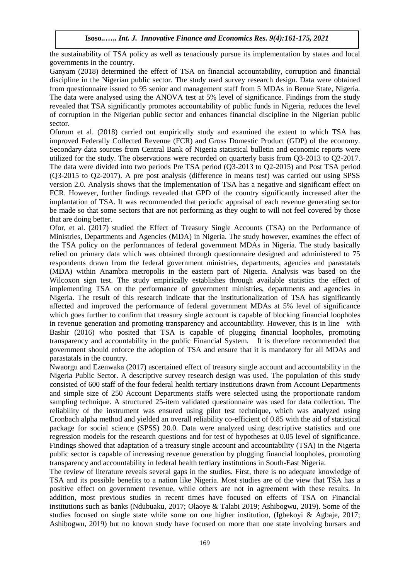the sustainability of TSA policy as well as tenaciously pursue its implementation by states and local governments in the country.

Ganyam (2018) determined the effect of TSA on financial accountability, corruption and financial discipline in the Nigerian public sector. The study used survey research design. Data were obtained from questionnaire issued to 95 senior and management staff from 5 MDAs in Benue State, Nigeria. The data were analysed using the ANOVA test at 5% level of significance. Findings from the study revealed that TSA significantly promotes accountability of public funds in Nigeria, reduces the level of corruption in the Nigerian public sector and enhances financial discipline in the Nigerian public sector.

Ofurum et al. (2018) carried out empirically study and examined the extent to which TSA has improved Federally Collected Revenue (FCR) and Gross Domestic Product (GDP) of the economy. Secondary data sources from Central Bank of Nigeria statistical bulletin and economic reports were utilized for the study. The observations were recorded on quarterly basis from Q3-2013 to Q2-2017. The data were divided into two periods Pre TSA period (Q3-2013 to Q2-2015) and Post TSA period (Q3-2015 to Q2-2017). A pre post analysis (difference in means test) was carried out using SPSS version 2.0. Analysis shows that the implementation of TSA has a negative and significant effect on FCR. However, further findings revealed that GPD of the country significantly increased after the implantation of TSA. It was recommended that periodic appraisal of each revenue generating sector be made so that some sectors that are not performing as they ought to will not feel covered by those that are doing better.

Ofor, et al. (2017) studied the Effect of Treasury Single Accounts (TSA) on the Performance of Ministries, Departments and Agencies (MDA) in Nigeria. The study however, examines the effect of the TSA policy on the performances of federal government MDAs in Nigeria. The study basically relied on primary data which was obtained through questionnaire designed and administered to 75 respondents drawn from the federal government ministries, departments, agencies and parastatals (MDA) within Anambra metropolis in the eastern part of Nigeria. Analysis was based on the Wilcoxon sign test. The study empirically establishes through available statistics the effect of implementing TSA on the performance of government ministries, departments and agencies in Nigeria. The result of this research indicate that the institutionalization of TSA has significantly affected and improved the performance of federal government MDAs at 5% level of significance which goes further to confirm that treasury single account is capable of blocking financial loopholes in revenue generation and promoting transparency and accountability. However, this is in line with Bashir (2016) who posited that TSA is capable of plugging financial loopholes, promoting transparency and accountability in the public Financial System. It is therefore recommended that government should enforce the adoption of TSA and ensure that it is mandatory for all MDAs and parastatals in the country.

Nwaorgu and Ezenwaka (2017) ascertained effect of treasury single account and accountability in the Nigeria Public Sector. A descriptive survey research design was used. The population of this study consisted of 600 staff of the four federal health tertiary institutions drawn from Account Departments and simple size of 250 Account Departments staffs were selected using the proportionate random sampling technique. A structured 25-item validated questionnaire was used for data collection. The reliability of the instrument was ensured using pilot test technique, which was analyzed using Cronbach alpha method and yielded an overall reliability co-efficient of 0.85 with the aid of statistical package for social science (SPSS) 20.0. Data were analyzed using descriptive statistics and one regression models for the research questions and for test of hypotheses at 0.05 level of significance. Findings showed that adaptation of a treasury single account and accountability (TSA) in the Nigeria public sector is capable of increasing revenue generation by plugging financial loopholes, promoting transparency and accountability in federal health tertiary institutions in South-East Nigeria.

The review of literature reveals several gaps in the studies. First, there is no adequate knowledge of TSA and its possible benefits to a nation like Nigeria. Most studies are of the view that TSA has a positive effect on government revenue, while others are not in agreement with these results. In addition, most previous studies in recent times have focused on effects of TSA on Financial institutions such as banks (Ndubuaku, 2017; Olaoye & Talabi 2019; Ashibogwu, 2019). Some of the studies focused on single state while some on one higher institution, (Igbekoyi & Agbaje, 2017; Ashibogwu, 2019) but no known study have focused on more than one state involving bursars and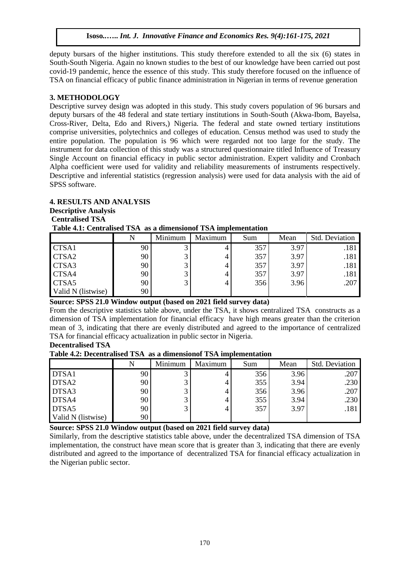deputy bursars of the higher institutions. This study therefore extended to all the six (6) states in South-South Nigeria. Again no known studies to the best of our knowledge have been carried out post covid-19 pandemic, hence the essence of this study. This study therefore focused on the influence of TSA on financial efficacy of public finance administration in Nigerian in terms of revenue generation

#### **3. METHODOLOGY**

Descriptive survey design was adopted in this study. This study covers population of 96 bursars and deputy bursars of the 48 federal and state tertiary institutions in South-South (Akwa-Ibom, Bayelsa, Cross-River, Delta, Edo and Rivers,) Nigeria. The federal and state owned tertiary institutions comprise universities, polytechnics and colleges of education. Census method was used to study the entire population. The population is 96 which were regarded not too large for the study. The instrument for data collection of this study was a structured questionnaire titled Influence of Treasury Single Account on financial efficacy in public sector administration. Expert validity and Cronbach Alpha coefficient were used for validity and reliability measurements of instruments respectively. Descriptive and inferential statistics (regression analysis) were used for data analysis with the aid of SPSS software.

# **4. RESULTS AND ANALYSIS Descriptive Analysis**

#### **Centralised TSA**

#### **Table 4.1: Centralised TSA as a dimensionof TSA implementation**

|                    |    | Minimum | Maximum | Sum | Mean | <b>Std. Deviation</b> |
|--------------------|----|---------|---------|-----|------|-----------------------|
| CTSA1              | 90 |         |         | 357 | 3.97 | .181                  |
| CTSA2              | 90 |         |         | 357 | 3.97 | .181                  |
| CTSA3              | 90 |         |         | 357 | 3.97 | .181                  |
| CTSA4              | 90 |         |         | 357 | 3.97 | .181                  |
| CTSA5              | 90 |         |         | 356 | 3.96 | .207                  |
| Valid N (listwise) | 90 |         |         |     |      |                       |

#### **Source: SPSS 21.0 Window output (based on 2021 field survey data)**

From the descriptive statistics table above, under the TSA, it shows centralized TSA constructs as a dimension of TSA implementation for financial efficacy have high means greater than the criterion mean of 3, indicating that there are evenly distributed and agreed to the importance of centralized TSA for financial efficacy actualization in public sector in Nigeria.

## **Decentralised TSA**

**Table 4.2: Decentralised TSA as a dimensionof TSA implementation**

|                    |    | Minimum | Maximum | Sum | Mean | Std. Deviation |
|--------------------|----|---------|---------|-----|------|----------------|
| DTSA1              | 90 |         |         | 356 | 3.96 | .207           |
| DTSA2              | 90 |         |         | 355 | 3.94 | .230           |
| DTSA3              | 90 |         |         | 356 | 3.96 | .207           |
| DTSA4              | 90 |         |         | 355 | 3.94 | .230           |
| DTSA5              | 90 |         |         | 357 | 3.97 | .181           |
| Valid N (listwise) | 90 |         |         |     |      |                |

#### **Source: SPSS 21.0 Window output (based on 2021 field survey data)**

Similarly, from the descriptive statistics table above, under the decentralized TSA dimension of TSA implementation, the construct have mean score that is greater than 3, indicating that there are evenly distributed and agreed to the importance of decentralized TSA for financial efficacy actualization in the Nigerian public sector.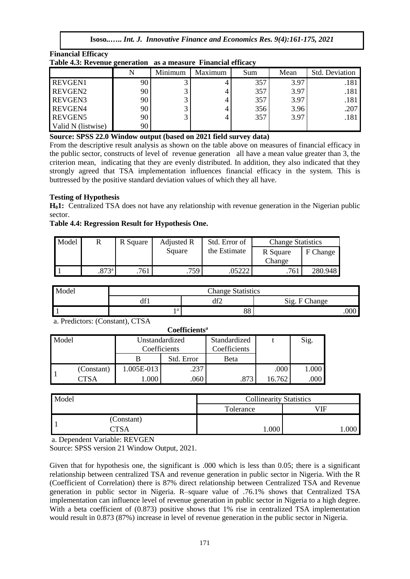| Table 4.3: Revenue generation as a measure Financial efficacy |    |         |         |     |      |                |
|---------------------------------------------------------------|----|---------|---------|-----|------|----------------|
|                                                               |    | Minimum | Maximum | Sum | Mean | Std. Deviation |
| <b>REVGEN1</b>                                                | 90 |         |         | 357 | 3.97 | .181           |
| REVGEN2                                                       | 90 |         | 4       | 357 | 3.97 | .181           |
| REVGEN3                                                       | 90 |         | 4       | 357 | 3.97 | .181           |
| REVGEN4                                                       | 90 |         | 4       | 356 | 3.96 | .207           |
| <b>REVGEN5</b>                                                | 90 |         | 4       | 357 | 3.97 | .181           |
| Valid N (listwise)                                            | 90 |         |         |     |      |                |

**Financial Efficacy Table 4.3: Revenue generation as a measure Financial efficacy** 

#### **Source: SPSS 22.0 Window output (based on 2021 field survey data)**

From the descriptive result analysis as shown on the table above on measures of financial efficacy in the public sector, constructs of level of revenue generation all have a mean value greater than 3, the criterion mean, indicating that they are evenly distributed. In addition, they also indicated that they strongly agreed that TSA implementation influences financial efficacy in the system. This is buttressed by the positive standard deviation values of which they all have.

## **Testing of Hypothesis**

**H01:** Centralized TSA does not have any relationship with revenue generation in the Nigerian public sector.

#### **Table 4.4: Regression Result for Hypothesis One.**

| Model |                     | R Square | Adjusted R | Std. Error of | <b>Change Statistics</b> |          |
|-------|---------------------|----------|------------|---------------|--------------------------|----------|
|       |                     |          | Square     | the Estimate  | R Square                 | F Change |
|       |                     |          |            |               | Change                   |          |
|       | $.873$ <sup>a</sup> | .761     | .759       |               | .761                     | 280.948  |

| Model | <b>Change Statistics</b> |     |               |  |  |  |  |
|-------|--------------------------|-----|---------------|--|--|--|--|
|       | 10 <sup>2</sup><br>df I  | df2 | Sig. F Change |  |  |  |  |
|       | ۰a                       | 88  | 000           |  |  |  |  |

a. Predictors: (Constant), CTSA

| Coefficients <sup>a</sup> |            |                                |            |                              |        |       |  |
|---------------------------|------------|--------------------------------|------------|------------------------------|--------|-------|--|
| Model                     |            | Unstandardized<br>Coefficients |            | Standardized<br>Coefficients |        | Sig.  |  |
|                           |            |                                | Std. Error | Beta                         |        |       |  |
|                           | (Constant) | 1.005E-013                     | .237       |                              | .000   | 1.000 |  |
|                           | CTSA       | 000.1                          | .060       | .873                         | 16.762 | .000  |  |

| Model |            | <b>Collinearity Statistics</b> |      |  |  |
|-------|------------|--------------------------------|------|--|--|
|       |            | Tolerance                      | ЛF   |  |  |
|       | (Constant) |                                |      |  |  |
|       | ∧ יאידיר   | .000                           | .000 |  |  |

a. Dependent Variable: REVGEN

Source: SPSS version 21 Window Output, 2021.

Given that for hypothesis one, the significant is .000 which is less than 0.05; there is a significant relationship between centralized TSA and revenue generation in public sector in Nigeria. With the R (Coefficient of Correlation) there is 87% direct relationship between Centralized TSA and Revenue generation in public sector in Nigeria. R–square value of .76.1% shows that Centralized TSA implementation can influence level of revenue generation in public sector in Nigeria to a high degree. With a beta coefficient of (0.873) positive shows that 1% rise in centralized TSA implementation would result in 0.873 (87%) increase in level of revenue generation in the public sector in Nigeria.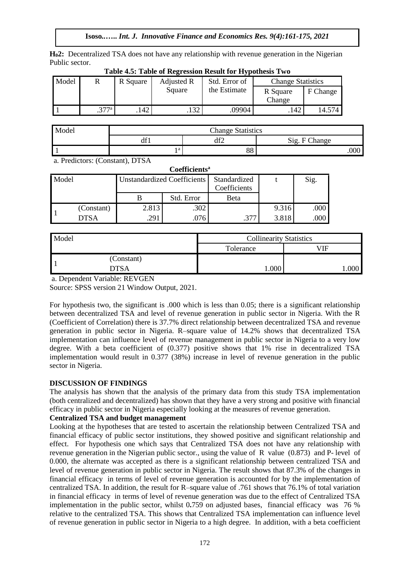**H02:** Decentralized TSA does not have any relationship with revenue generation in the Nigerian Public sector.

| Model |      | R Square | Adjusted R | Std. Error of | <b>Change Statistics</b> |          |
|-------|------|----------|------------|---------------|--------------------------|----------|
|       |      |          | Square     | the Estimate  | R Square                 | F Change |
|       |      |          |            |               | Change                   |          |
|       | 277a | 142      | 132        | 09904         | .142                     | 14.574   |

| Table 4.5: Table of Regression Result for Hypothesis Two |  |
|----------------------------------------------------------|--|
|                                                          |  |

| Model | <b>Change Statistics</b> |           |               |  |  |  |
|-------|--------------------------|-----------|---------------|--|--|--|
|       | 10 <sup>2</sup><br>dt l  | AF<br>412 | Sig. F Change |  |  |  |
|       | ١a                       | oc<br>oo  | .000          |  |  |  |

a. Predictors: (Constant), DTSA

| <b>Coefficients</b> <sup>a</sup> |            |       |                             |                              |       |      |  |
|----------------------------------|------------|-------|-----------------------------|------------------------------|-------|------|--|
| Model                            |            |       | Unstandardized Coefficients | Standardized<br>Coefficients |       | Sig. |  |
|                                  |            |       | Std. Error                  | Beta                         |       |      |  |
|                                  | (Constant) | 2.813 | .302                        |                              | 9.316 | .000 |  |
|                                  | DTSA       | .291  | .076                        |                              | 3.818 | .000 |  |

| Model |             | <b>Collinearity Statistics</b> |      |  |  |
|-------|-------------|--------------------------------|------|--|--|
|       |             | Tolerance                      | ЛF   |  |  |
|       | (Constant)  |                                |      |  |  |
|       | <b>YTSA</b> | .000                           | .000 |  |  |

a. Dependent Variable: REVGEN

Source: SPSS version 21 Window Output, 2021.

For hypothesis two, the significant is .000 which is less than 0.05; there is a significant relationship between decentralized TSA and level of revenue generation in public sector in Nigeria. With the R (Coefficient of Correlation) there is 37.7% direct relationship between decentralized TSA and revenue generation in public sector in Nigeria. R–square value of 14.2% shows that decentralized TSA implementation can influence level of revenue management in public sector in Nigeria to a very low degree. With a beta coefficient of (0.377) positive shows that 1% rise in decentralized TSA implementation would result in 0.377 (38%) increase in level of revenue generation in the public sector in Nigeria.

## **DISCUSSION OF FINDINGS**

The analysis has shown that the analysis of the primary data from this study TSA implementation (both centralized and decentralized) has shown that they have a very strong and positive with financial efficacy in public sector in Nigeria especially looking at the measures of revenue generation.

# **Centralized TSA and budget management**

Looking at the hypotheses that are tested to ascertain the relationship between Centralized TSA and financial efficacy of public sector institutions, they showed positive and significant relationship and effect. For hypothesis one which says that Centralized TSA does not have any relationship with revenue generation in the Nigerian public sector., using the value of R value (0.873) and P- level of 0.000, the alternate was accepted as there is a significant relationship between centralized TSA and level of revenue generation in public sector in Nigeria. The result shows that 87.3% of the changes in financial efficacy in terms of level of revenue generation is accounted for by the implementation of centralized TSA. In addition, the result for R–square value of .761 shows that 76.1% of total variation in financial efficacy in terms of level of revenue generation was due to the effect of Centralized TSA implementation in the public sector, whilst 0**.**759 on adjusted bases, financial efficacy was 76 % relative to the centralized TSA. This shows that Centralized TSA implementation can influence level of revenue generation in public sector in Nigeria to a high degree. In addition, with a beta coefficient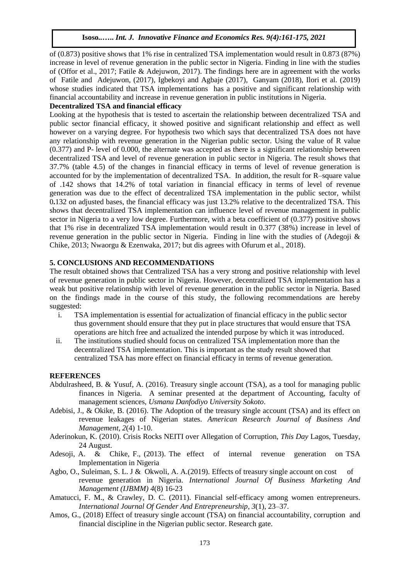of (0.873) positive shows that 1% rise in centralized TSA implementation would result in 0.873 (87%) increase in level of revenue generation in the public sector in Nigeria. Finding in line with the studies of (Offor et al., 2017; Fatile & Adejuwon, 2017). The findings here are in agreement with the works of Fatile and Adejuwon, (2017), Igbekoyi and Agbaje (2017), Ganyam (2018), Ilori et al. (2019) whose studies indicated that TSA implementations has a positive and significant relationship with financial accountability and increase in revenue generation in public institutions in Nigeria.

## **Decentralized TSA and financial efficacy**

Looking at the hypothesis that is tested to ascertain the relationship between decentralized TSA and public sector financial efficacy, it showed positive and significant relationship and effect as well however on a varying degree. For hypothesis two which says that decentralized TSA does not have any relationship with revenue generation in the Nigerian public sector. Using the value of R value (0.377) and P- level of 0.000, the alternate was accepted as there is a significant relationship between decentralized TSA and level of revenue generation in public sector in Nigeria. The result shows that 37.7% (table 4.5) of the changes in financial efficacy in terms of level of revenue generation is accounted for by the implementation of decentralized TSA. In addition, the result for R–square value of .142 shows that 14.2% of total variation in financial efficacy in terms of level of revenue generation was due to the effect of decentralized TSA implementation in the public sector, whilst 0**.**132 on adjusted bases, the financial efficacy was just 13.2% relative to the decentralized TSA. This shows that decentralized TSA implementation can influence level of revenue management in public sector in Nigeria to a very low degree. Furthermore, with a beta coefficient of (0.377) positive shows that 1% rise in decentralized TSA implementation would result in 0.377 (38%) increase in level of revenue generation in the public sector in Nigeria. Finding in line with the studies of (Adegoji & Chike, 2013; Nwaorgu & Ezenwaka, 2017; but dis agrees with Ofurum et al., 2018).

#### **5. CONCLUSIONS AND RECOMMENDATIONS**

The result obtained shows that Centralized TSA has a very strong and positive relationship with level of revenue generation in public sector in Nigeria. However, decentralized TSA implementation has a weak but positive relationship with level of revenue generation in the public sector in Nigeria. Based on the findings made in the course of this study, the following recommendations are hereby suggested:

- i. TSA implementation is essential for actualization of financial efficacy in the public sector thus government should ensure that they put in place structures that would ensure that TSA operations are hitch free and actualized the intended purpose by which it was introduced.
- ii. The institutions studied should focus on centralized TSA implementation more than the decentralized TSA implementation. This is important as the study result showed that centralized TSA has more effect on financial efficacy in terms of revenue generation.

#### **REFERENCES**

- Abdulrasheed, B. & Yusuf, A. (2016). Treasury single account (TSA), as a tool for managing public finances in Nigeria. A seminar presented at the department of Accounting, faculty of management sciences, *Usmanu Danfodiyo University Sokoto*.
- Adebisi, J., & Okike, B. (2016). The Adoption of the treasury single account (TSA) and its effect on revenue leakages of Nigerian states. *American Research Journal of Business And Management, 2*(4) 1-10.
- Aderinokun, K. (2010). Crisis Rocks NEITI over Allegation of Corruption, *This Day* Lagos, Tuesday, 24 August.
- Adesoji, A. & Chike, F., (2013). The effect of internal revenue generation on TSA Implementation in Nigeria
- Agbo, O., Suleiman, S. L. J & Okwoli, A. A.(2019). Effects of treasury single account on cost of revenue generation in Nigeria. *International Journal Of Business Marketing And Management (IJBMM) 4*(8) 16-23
- Amatucci, F. M., & Crawley, D. C. (2011). Financial self-efficacy among women entrepreneurs. *International Journal Of Gender And Entrepreneurship*, *3*(1), 23–37.
- Amos, G., (2018) Effect of treasury single account (TSA) on financial accountability, corruption and financial discipline in the Nigerian public sector. Research gate.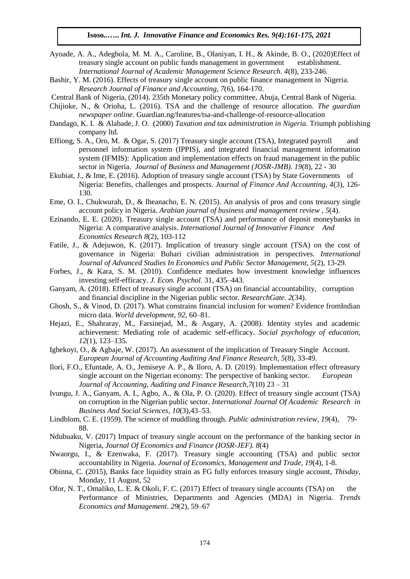- Ayoade, A. A., Adegbola, M. M. A., Caroline, B., Olaniyan, I. H., & Akinde, B. O., (2020)Effect of treasury single account on public funds management in government establishment. *International Journal of Academic Management Science Research. 4*(8), 233-246.
- Bashir, Y. M. (2016). Effects of treasury single account on public finance management in Nigeria. *Research Journal of Finance and Accounting*, *7*(6), 164-170.

Central Bank of Nigeria, (2014). 235th Monetary policy committee, Abuja, Central Bank of Nigeria.

- Chijioke, N., & Orioha, L. (2016). TSA and the challenge of resource allocation. *The guardian newspaper online*. Guardian.ng/features/tsa-and-challenge-of-resource-allocation
- Dandago, K. I. & Alabade, J. O. (2000) *Taxation and tax administration in Nigeria.* Triumph publishing company ltd.
- Effiong, S. A., Oro, M. & Ogar, S. (2017) Treasury single account (TSA), Integrated payroll and personnel information system (IPPIS), and integrated financial management information system (IFMIS): Application and implementation effects on fraud management in the public sector in Nigeria. *Journal of Business and Management (JOSR-JMB). 19*(8), 22 - 30
- Ekubiat, J., & Ime, E. (2016). Adoption of treasury single account (TSA) by State Governments of Nigeria: Benefits, challenges and prospects. *Journal of Finance And Accounting, 4*(3), 126- 130.
- Eme, O. I., Chukwurah, D., & Iheanacho, E. N. (2015). An analysis of pros and cons treasury single account policy in Nigeria. *Arabian journal of business and management review* , *5*(4).
- Ezinando, E. E. (2020). Treasury single account (TSA) and performance of deposit moneybanks in Nigeria: A comparative analysis. *International Journal of Innovative Finance And Economics Research 8*(2), 103-112
- Fatile, J., & Adejuwon, K. (2017). Implication of treasury single account (TSA) on the cost of governance in Nigeria: Buhari civilian administration in perspectives. *International Journal of Advanced Studies In Economics and Public Sector Management, 5*(2), 13-29.
- Forbes, J., & Kara, S. M. (2010). Confidence mediates how investment knowledge influences investing self-efficacy. *J. Econ. Psychol.* 31, 435–443.
- Ganyam, A. (2018). Effect of treasury single account (TSA) on financial accountability, corruption and financial discipline in the Nigerian public sector. *ResearchGate*. *2*(34).
- Ghosh, S., & Vinod, D. (2017). What constrains financial inclusion for women? Evidence fromIndian micro data. *World development*, *92*, 60–81.
- Hejazi, E., Shahraray, M., Farsinejad, M., & Asgary, A. (2008). Identity styles and academic achievement: Mediating role of academic self-efficacy. *Social psychology of education*, *12*(1), 123–135.
- Igbekoyi, O., & Agbaje, W. (2017). An assessment of the implication of Treasury Single Account. *European Journal of Accounting Auditing And Finance Research, 5*(8), 33-49.
- Ilori, F.O., Efuntade, A. O., Jemiseye A. P., & Iloro, A. D. (2019). Implementation effect oftreasury single account on the Nigerian economy: The perspective of banking sector. *European Journal of Accounting, Auditing and Finance Research,7*(10) 23 – 31
- Ivungu, J. A., Ganyam, A. I., Agbo, A., & Ola, P. O. (2020). Effect of treasury single account (TSA) on corruption in the Nigerian public sector. *International Journal Of Academic Research in Business And Social Sciences, 10*(3),43–53.
- Lindblom, C. E. (1959). The science of muddling through. *Public administration review*, *19*(4), 79- 88.
- Ndubuaku, V. (2017) Impact of treasury single account on the performance of the banking sector in Nigeria, *Journal Of Economics and Finance (IOSR-JEF). 8*(4)
- Nwaorgu, I., & Ezenwaka, F. (2017). Treasury single accounting (TSA) and public sector accountability in Nigeria. *Journal of Economics, Management and Trade, 19*(4), 1-8.
- Obinna, C. (2015), Banks face liquidity strain as FG fully enforces treasury single account, *Thisday*, Monday, 11 August, 52
- Ofor, N. T., Omaliko, L. E. & Okoli, F. C. (2017) Effect of treasury single accounts (TSA) on the Performance of Ministries, Departments and Agencies (MDA) in Nigeria. *Trends Economics and Management*. *29*(2), 59–67